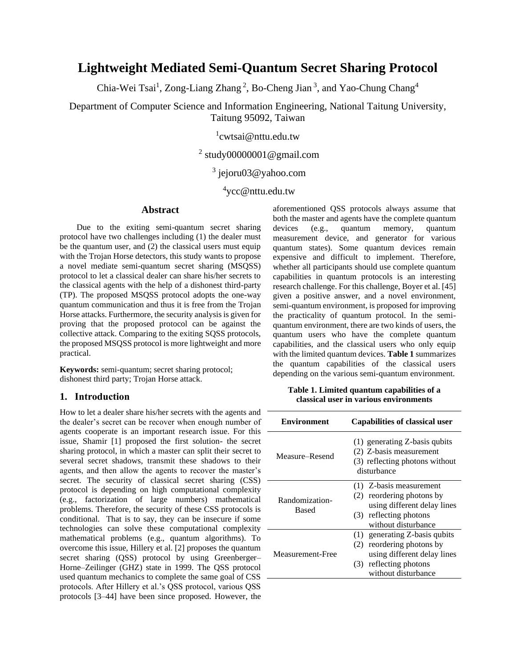# **Lightweight Mediated Semi-Quantum Secret Sharing Protocol**

Chia-Wei Tsai<sup>1</sup>, Zong-Liang Zhang<sup>2</sup>, Bo-Cheng Jian<sup>3</sup>, and Yao-Chung Chang<sup>4</sup>

Department of Computer Science and Information Engineering, National Taitung University, Taitung 95092, Taiwan

1 cwtsai@nttu.edu.tw

# <sup>2</sup> study00000001@gmail.com

# <sup>3</sup> jejoru03@yahoo.com

4 ycc@nttu.edu.tw

## **Abstract**

Due to the exiting semi-quantum secret sharing protocol have two challenges including (1) the dealer must be the quantum user, and (2) the classical users must equip with the Trojan Horse detectors, this study wants to propose a novel mediate semi-quantum secret sharing (MSQSS) protocol to let a classical dealer can share his/her secrets to the classical agents with the help of a dishonest third-party (TP). The proposed MSQSS protocol adopts the one-way quantum communication and thus it is free from the Trojan Horse attacks. Furthermore, the security analysis is given for proving that the proposed protocol can be against the collective attack. Comparing to the exiting SQSS protocols, the proposed MSQSS protocol is more lightweight and more practical.

**Keywords:** semi-quantum; secret sharing protocol; dishonest third party; Trojan Horse attack.

### **1. Introduction**

How to let a dealer share his/her secrets with the agents and the dealer's secret can be recover when enough number of agents cooperate is an important research issue. For this issue, Shamir [1] proposed the first solution- the secret sharing protocol, in which a master can split their secret to several secret shadows, transmit these shadows to their agents, and then allow the agents to recover the master's secret. The security of classical secret sharing (CSS) protocol is depending on high computational complexity (e.g., factorization of large numbers) mathematical problems. Therefore, the security of these CSS protocols is conditional. That is to say, they can be insecure if some technologies can solve these computational complexity mathematical problems (e.g., quantum algorithms). To overcome this issue, Hillery et al. [2] proposes the quantum secret sharing (QSS) protocol by using Greenberger– Horne–Zeilinger (GHZ) state in 1999. The QSS protocol used quantum mechanics to complete the same goal of CSS protocols. After Hillery et al.'s QSS protocol, various QSS protocols [3–44] have been since proposed. However, the

aforementioned QSS protocols always assume that both the master and agents have the complete quantum devices (e.g., quantum memory, quantum measurement device, and generator for various quantum states). Some quantum devices remain expensive and difficult to implement. Therefore, whether all participants should use complete quantum capabilities in quantum protocols is an interesting research challenge. For this challenge, Boyer et al. [45] given a positive answer, and a novel environment, semi-quantum environment, is proposed for improving the practicality of quantum protocol. In the semiquantum environment, there are two kinds of users, the quantum users who have the complete quantum capabilities, and the classical users who only equip with the limited quantum devices. **Table 1** summarizes the quantum capabilities of the classical users depending on the various semi-quantum environment.

**Table 1. Limited quantum capabilities of a classical user in various environments**

| <b>Environment</b>      | <b>Capabilities of classical user</b>                                                                                                               |
|-------------------------|-----------------------------------------------------------------------------------------------------------------------------------------------------|
| Measure–Resend          | (1) generating Z-basis qubits<br>(2) Z-basis measurement<br>(3) reflecting photons without<br>disturbance                                           |
| Randomization-<br>Based | (1) Z-basis measurement<br>reordering photons by<br>(2)<br>using different delay lines<br>reflecting photons<br>(3)<br>without disturbance          |
| Measurement-Free        | generating Z-basis qubits<br>(1)<br>reordering photons by<br>(2)<br>using different delay lines<br>reflecting photons<br>(3)<br>without disturbance |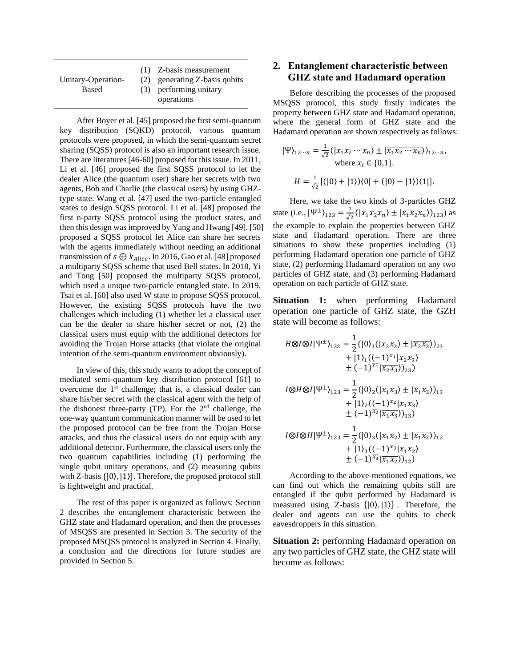|                    | (1) Z-basis measurement       |
|--------------------|-------------------------------|
| Unitary-Operation- | (2) generating Z-basis qubits |
| Based              | (3) performing unitary        |
|                    | operations                    |

After Boyer et al. [45] proposed the first semi-quantum key distribution (SQKD) protocol, various quantum protocols were proposed, in which the semi-quantum secret sharing (SQSS) protocol is also an important research issue. There are literatures [46-60] proposed for this issue. In 2011, Li et al. [46] proposed the first SQSS protocol to let the dealer Alice (the quantum user) share her secrets with two agents, Bob and Charlie (the classical users) by using GHZtype state. Wang et al. [47] used the two-particle entangled states to design SQSS protocol. Li et al. [48] proposed the first n-party SQSS protocol using the product states, and then this design was improved by Yang and Hwang [49]. [50] proposed a SQSS protocol let Alice can share her secrets with the agents immediately without needing an additional transmission of  $s \bigoplus k_{Alice}$ . In 2016, Gao et al. [48] proposed a multiparty SQSS scheme that used Bell states. In 2018, Yi and Tong [50] proposed the multiparty SQSS protocol, which used a unique two-particle entangled state. In 2019, Tsai et al. [60] also used W state to propose SQSS protocol. However, the existing SQSS protocols have the two challenges which including (1) whether let a classical user can be the dealer to share his/her secret or not, (2) the classical users must equip with the additional detectors for avoiding the Trojan Horse attacks (that violate the original intention of the semi-quantum environment obviously).

In view of this, this study wants to adopt the concept of mediated semi-quantum key distribution protocol [61] to overcome the 1<sup>st</sup> challenge; that is, a classical dealer can share his/her secret with the classical agent with the help of the dishonest three-party (TP). For the  $2<sup>nd</sup>$  challenge, the one-way quantum communication manner will be used to let the proposed protocol can be free from the Trojan Horse attacks, and thus the classical users do not equip with any additional detector. Furthermore, the classical users only the two quantum capabilities including (1) performing the single qubit unitary operations, and (2) measuring qubits with Z-basis  $\{|0\rangle, |1\rangle\}$ . Therefore, the proposed protocol still is lightweight and practical.

The rest of this paper is organized as follows: Section 2 describes the entanglement characteristic between the GHZ state and Hadamard operation, and then the processes of MSQSS are presented in Section 3. The security of the proposed MSQSS protocol is analyzed in Section 4. Finally, a conclusion and the directions for future studies are provided in Section 5.

# **2. Entanglement characteristic between GHZ state and Hadamard operation**

Before describing the processes of the proposed MSQSS protocol, this study firstly indicates the property between GHZ state and Hadamard operation, where the general form of GHZ state and the Hadamard operation are shown respectively as follows:

$$
|\Psi\rangle_{12\cdots n} = \frac{1}{\sqrt{2}} (|x_1 x_2 \cdots x_n\rangle \pm |\overline{x_1 x_2 \cdots x_n}\rangle)_{12\cdots n},
$$
  
where  $x_i \in \{0, 1\}.$   

$$
H = \frac{1}{\sqrt{2}} [(|0\rangle + |1\rangle)\langle 0| + (|0\rangle - |1\rangle)\langle 1|].
$$

Here, we take the two kinds of 3-particles GHZ state (i.e.,  $|\Psi^{\pm}\rangle_{123} = \frac{1}{\sqrt{2}}$  $\frac{1}{\sqrt{2}}(|x_1x_2x_n\rangle \pm |\overline{x_1x_2x_n}\rangle)_{123})$  as the example to explain the properties between GHZ state and Hadamard operation. There are three situations to show these properties including (1) performing Hadamard operation one particle of GHZ state, (2) performing Hadamard operation on any two particles of GHZ state, and (3) performing Hadamard operation on each particle of GHZ state.

**Situation 1:** when performing Hadamard operation one particle of GHZ state, the GZH state will become as follows:

$$
H \otimes I \otimes I |\Psi^{\pm}\rangle_{123} = \frac{1}{2} (|0\rangle_{1} (|x_{2}x_{3}\rangle \pm |\overline{x_{2}x_{3}}\rangle)_{23}
$$
  
+ |1\rangle\_{1} ((-1)^{x\_{1}} |x\_{2}x\_{3}\rangle   
+ (-1)^{\overline{x}\_{1}} |\overline{x\_{2}x\_{3}}\rangle)\_{23})  

$$
I \otimes H \otimes I |\Psi^{\pm}\rangle_{123} = \frac{1}{2} (|0\rangle_{2} (|x_{1}x_{3}\rangle \pm |\overline{x_{1}x_{3}}\rangle)_{13}
$$
  
+ |1\rangle\_{2} ((-1)^{x\_{2}} |x\_{1}x\_{3}\rangle   
+ (-1)^{\overline{x}\_{2}} |\overline{x\_{1}x\_{3}}\rangle)\_{13})  

$$
I \otimes I \otimes H |\Psi^{\pm}\rangle_{123} = \frac{1}{2} (|0\rangle_{3} (|x_{1}x_{2}\rangle \pm |\overline{x_{1}x_{2}}\rangle)_{12}
$$
  
+ |1\rangle\_{3} ((-1)^{x\_{3}} |x\_{1}x\_{2}\rangle   
+ (-1)^{\overline{x}\_{3}} |\overline{x\_{1}x\_{2}}\rangle)\_{12})

According to the above-mentioned equations, we can find out which the remaining qubits still are entangled if the qubit performed by Hadamard is measured using Z-basis  $\{|0\rangle, |1\rangle\}$ . Therefore, the dealer and agents can use the qubits to check eavesdroppers in this situation.

**Situation 2:** performing Hadamard operation on any two particles of GHZ state, the GHZ state will become as follows: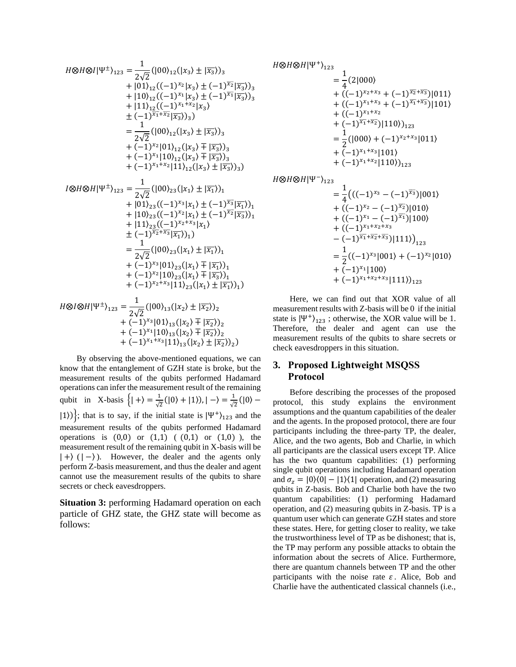$$
H \otimes H \otimes I|\Psi^{\pm}\rangle_{123} = \frac{1}{2\sqrt{2}} (|00\rangle_{12}(|x_3\rangle \pm |\overline{x_3}\rangle)_{3} + |01\rangle_{12}((-1)^{x_2}|x_3\rangle \pm (-1)^{\overline{x_2}}|\overline{x_3}\rangle)_{3} + |10\rangle_{12}((-1)^{x_1}|x_3\rangle \pm (-1)^{\overline{x_1}}|\overline{x_3}\rangle)_{3} + |11\rangle_{12}((-1)^{x_1+x_2}|x_3\rangle \pm (-1)^{\overline{x_1}+\overline{x_2}}|\overline{x_3}\rangle)_{3}) = \frac{1}{2\sqrt{2}} (|00\rangle_{12}(|x_3\rangle \pm |\overline{x_3}\rangle)_{3} + (-1)^{x_2}|01\rangle_{12}(|x_3\rangle \mp |\overline{x_3}\rangle)_{3} + (-1)^{x_1}|10\rangle_{12}(|x_3\rangle \mp |\overline{x_3}\rangle)_{3} + (-1)^{x_1+x_2}|11\rangle_{12}(|x_3\rangle \pm |\overline{x_3}\rangle)_{3}) = \frac{1}{2\sqrt{2}} (|00\rangle_{23}(|x_1\rangle \pm |\overline{x_1}\rangle)_{1} + |01\rangle_{23}((-1)^{x_3}|x_1\rangle \pm (-1)^{\overline{x_3}}|\overline{x_1}\rangle)_{1} + |10\rangle_{23}((-1)^{x_2}|x_1\rangle \pm (-1)^{\overline{x_2}}|\overline{x_3}\rangle)_{1} + |11\rangle_{23}((-1)^{x_2+x_3}|x_1\rangle = \frac{1}{2\sqrt{2}} (|00\rangle_{23}(|x_1\rangle \pm |\overline{x_1}\rangle)_{1} = \frac{1}{2\sqrt{2}} (|00\rangle_{23}(|x_1\rangle \mp |\overline{x_1}\rangle)_{1} + (-1)^{x_2}|10\rangle_{23}(|x_1\rangle \mp |\overline{x_3}\rangle)_{1} + (-1)^{x_2}|10\rangle_{23}(|x_1\rangle \mp |\overline{x_3}\rangle)_{1} + (-1)^{x_2}|10\rangle_{23}(|x_1\rangle \pm |\overline{x_1}\rangle)_{
$$

By observing the above-mentioned equations, we can know that the entanglement of GZH state is broke, but the measurement results of the qubits performed Hadamard operations can infer the measurement result of the remaining qubit in X-basis  $\{| + \rangle = \frac{1}{\epsilon}$  $\frac{1}{\sqrt{2}}(|0\rangle + |1\rangle), |-\rangle = \frac{1}{\sqrt{2}}$  $\frac{1}{\sqrt{2}}(|0\rangle |1\rangle$ }; that is to say, if the initial state is  $|\Psi^+\rangle_{123}$  and the measurement results of the qubits performed Hadamard operations is  $(0,0)$  or  $(1,1)$   $(0,1)$  or  $(1,0)$ ), the measurement result of the remaining qubit in X-basis will be  $| + \rangle$  ( $| - \rangle$ ). However, the dealer and the agents only perform Z-basis measurement, and thus the dealer and agent cannot use the measurement results of the qubits to share secrets or check eavesdroppers.

**Situation 3:** performing Hadamard operation on each particle of GHZ state, the GHZ state will become as follows:

$$
H \otimes H \otimes H|\Psi^+\rangle_{123} = \frac{1}{4}(2|000\rangle
$$
  
+  $((-1)^{x_2+x_3} + (-1)^{\overline{x_2}+\overline{x_3}})|011\rangle$   
+  $((-1)^{x_1+x_3} + (-1)^{\overline{x_1}+\overline{x_3}})|101\rangle$   
+  $((-1)^{x_1+x_2} + (-1)^{\overline{x_1}+\overline{x_2}})|110\rangle)_{123}$   
=  $\frac{1}{2}(|000\rangle + (-1)^{x_2+x_3}|011\rangle$   
+  $(-1)^{x_1+x_3}|101\rangle$   
+  $(-1)^{x_1+x_2}|110\rangle)_{123}$ 

 $H\otimes H\otimes H|\Psi^-\rangle_{123}$ 

$$
= \frac{1}{4} \left( ((-1)^{x_3} - (-1)^{\overline{x_3}}) |001\rangle
$$
  
+  $((-1)^{x_2} - (-1)^{\overline{x_2}}) |010\rangle$   
+  $((-1)^{x_1} - (-1)^{\overline{x_1}}) |100\rangle$   
+  $((-1)^{x_1+x_2+x_3} - (-1)^{\overline{x_1}+\overline{x_2}+\overline{x_3}}) |111\rangle \right)_{123}$   
=  $\frac{1}{2} ((-1)^{x_3} |001\rangle + (-1)^{x_2} |010\rangle$   
+  $(-1)^{x_1} |100\rangle$   
+  $(-1)^{x_1+x_2+x_3} |111\rangle \right)_{123}$ 

Here, we can find out that XOR value of all measurement results with Z-basis will be 0 if the initial state is  $|\Psi^+\rangle_{123}$ ; otherwise, the XOR value will be 1. Therefore, the dealer and agent can use the measurement results of the qubits to share secrets or check eavesdroppers in this situation.

# **3. Proposed Lightweight MSQSS Protocol**

Before describing the processes of the proposed protocol, this study explains the environment assumptions and the quantum capabilities of the dealer and the agents. In the proposed protocol, there are four participants including the three-party TP, the dealer, Alice, and the two agents, Bob and Charlie, in which all participants are the classical users except TP. Alice has the two quantum capabilities: (1) performing single qubit operations including Hadamard operation and  $\sigma_z = |0\rangle\langle 0| - |1\rangle\langle 1|$  operation, and (2) measuring qubits in Z-basis. Bob and Charlie both have the two quantum capabilities: (1) performing Hadamard operation, and (2) measuring qubits in Z-basis. TP is a quantum user which can generate GZH states and store these states. Here, for getting closer to reality, we take the trustworthiness level of TP as be dishonest; that is, the TP may perform any possible attacks to obtain the information about the secrets of Alice. Furthermore, there are quantum channels between TP and the other participants with the noise rate  $\varepsilon$ . Alice, Bob and Charlie have the authenticated classical channels (i.e.,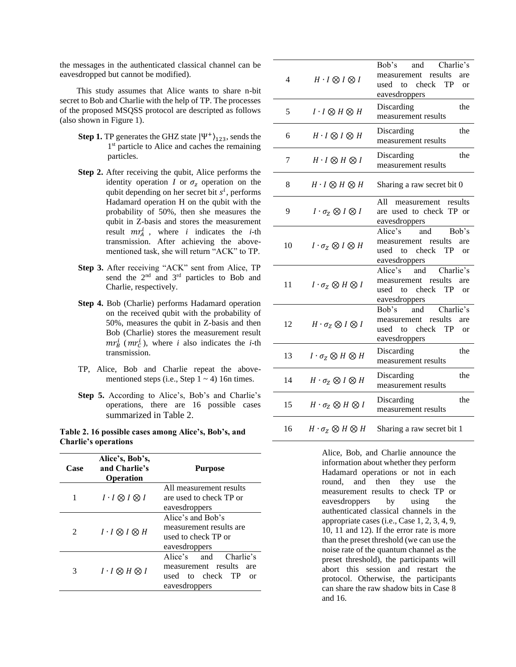the messages in the authenticated classical channel can be eavesdropped but cannot be modified).

This study assumes that Alice wants to share n-bit secret to Bob and Charlie with the help of TP. The processes of the proposed MSQSS protocol are descripted as follows (also shown in Figure 1).

- **Step 1.** TP generates the GHZ state  $|\Psi^+\rangle_{123}$ , sends the 1<sup>st</sup> particle to Alice and caches the remaining particles.
- **Step 2.** After receiving the qubit, Alice performs the identity operation *I* or  $\sigma_z$  operation on the qubit depending on her secret bit  $s^i$ , performs Hadamard operation H on the qubit with the probability of 50%, then she measures the qubit in Z-basis and stores the measurement result  $mr_A^i$ , where *i* indicates the *i*-th transmission. After achieving the abovementioned task, she will return "ACK" to TP.
- **Step 3.** After receiving "ACK" sent from Alice, TP send the 2<sup>nd</sup> and 3<sup>rd</sup> particles to Bob and Charlie, respectively.
- **Step 4.** Bob (Charlie) performs Hadamard operation on the received qubit with the probability of 50%, measures the qubit in Z-basis and then Bob (Charlie) stores the measurement result  $mr_b^i$  ( $mr_c^i$ ), where *i* also indicates the *i*-th transmission.
- TP, Alice, Bob and Charlie repeat the abovementioned steps (i.e., Step  $1 \sim 4$ ) 16n times.
- **Step 5.** According to Alice's, Bob's and Charlie's operations, there are 16 possible cases summarized in Table 2.

**Table 2. 16 possible cases among Alice's, Bob's, and Charlie's operations**

| Case | Alice's, Bob's,<br>and Charlie's<br><b>Operation</b> | <b>Purpose</b>                                                                                    |
|------|------------------------------------------------------|---------------------------------------------------------------------------------------------------|
| 1    | $I \cdot I \otimes I \otimes I$                      | All measurement results<br>are used to check TP or<br>eavesdroppers                               |
| 2    | $I \cdot I \otimes I \otimes H$                      | Alice's and Bob's<br>measurement results are<br>used to check TP or<br>eavesdroppers              |
| 3    | $I \cdot I \otimes H \otimes I$                      | Alice's and<br>Charlie's<br>measurement results<br>are<br>used to check TP<br>Ωr<br>eavesdroppers |

| 4  | $H \cdot I \otimes I \otimes I$          | Bob's<br>and<br>Charlie's<br>results<br>measurement<br>are<br>used to check<br>TP<br>or<br>eavesdroppers       |
|----|------------------------------------------|----------------------------------------------------------------------------------------------------------------|
| 5  | $I \cdot I \otimes H \otimes H$          | Discarding<br>the<br>measurement results                                                                       |
| 6  | $H \cdot I \otimes I \otimes H$          | Discarding<br>the<br>measurement results                                                                       |
| 7  | $H \cdot I \otimes H \otimes I$          | the<br>Discarding<br>measurement results                                                                       |
| 8  | $H \cdot I \otimes H \otimes H$          | Sharing a raw secret bit 0                                                                                     |
| 9  | $I \cdot \sigma_{Z} \otimes I \otimes I$ | A11<br>results<br>measurement<br>are used to check TP or<br>eavesdroppers                                      |
| 10 | $I \cdot \sigma_Z \otimes I \otimes H$   | Alice's<br>Bob's<br>and<br>measurement<br>results<br>are<br>used to check TP<br><sub>or</sub><br>eavesdroppers |
| 11 | $I \cdot \sigma_{Z} \otimes H \otimes I$ | Alice's and<br>Charlie's<br>measurement<br>results<br>are<br>used to check TP<br>or<br>eavesdroppers           |
| 12 | $H \cdot \sigma_Z \otimes I \otimes I$   | Charlie's<br>Bob's<br>and<br>results<br>measurement<br>are<br>used to check TP<br>or<br>eavesdroppers          |
| 13 | $I \cdot \sigma_{Z} \otimes H \otimes H$ | Discarding<br>the<br>measurement results                                                                       |
| 14 | $H \cdot \sigma_Z \otimes I \otimes H$   | Discarding<br>the<br>measurement results                                                                       |
| 15 | $H \cdot \sigma_Z \otimes H \otimes I$   | Discarding<br>the<br>measurement results                                                                       |
| 16 | $H \cdot \sigma_Z \otimes H \otimes H$   | Sharing a raw secret bit 1                                                                                     |

Alice, Bob, and Charlie announce the information about whether they perform Hadamard operations or not in each round, and then they use the measurement results to check TP or eavesdroppers by using the authenticated classical channels in the appropriate cases (i.e., Case 1, 2, 3, 4, 9, 10, 11 and 12). If the error rate is more than the preset threshold (we can use the noise rate of the quantum channel as the preset threshold), the participants will abort this session and restart the protocol. Otherwise, the participants can share the raw shadow bits in Case 8 and 16.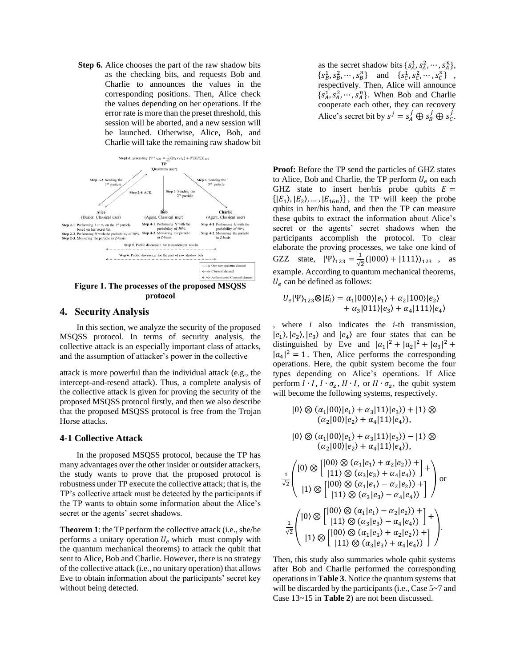**Step 6.** Alice chooses the part of the raw shadow bits as the checking bits, and requests Bob and Charlie to announces the values in the corresponding positions. Then, Alice check the values depending on her operations. If the error rate is more than the preset threshold, this session will be aborted, and a new session will be launched. Otherwise, Alice, Bob, and Charlie will take the remaining raw shadow bit



**protocol**

#### **4. Security Analysis**

In this section, we analyze the security of the proposed MSQSS protocol. In terms of security analysis, the collective attack is an especially important class of attacks, and the assumption of attacker's power in the collective

attack is more powerful than the individual attack (e.g., the intercept-and-resend attack). Thus, a complete analysis of the collective attack is given for proving the security of the proposed MSQSS protocol firstly, and then we also describe that the proposed MSQSS protocol is free from the Trojan Horse attacks.

#### **4-1 Collective Attack**

In the proposed MSQSS protocol, because the TP has many advantages over the other insider or outsider attackers, the study wants to prove that the proposed protocol is robustness under TP execute the collective attack; that is, the TP's collective attack must be detected by the participants if the TP wants to obtain some information about the Alice's secret or the agents' secret shadows.

**Theorem 1**: the TP perform the collective attack (i.e., she/he performs a unitary operation  $U_e$  which must comply with the quantum mechanical theorems) to attack the qubit that sent to Alice, Bob and Charlie. However, there is no strategy of the collective attack (i.e., no unitary operation) that allows Eve to obtain information about the participants' secret key without being detected.

as the secret shadow bits  $\{s_A^1, s_A^2, \dots, s_A^n\},\$  ${s_B^1, s_B^2, \dots, s_B^n}$  and  ${s_C^1, s_C^2, \dots, s_C^n}$ , respectively. Then, Alice will announce  $\{s_A^1, s_A^2, \cdots, s_A^n\}$ . When Bob and Charlie cooperate each other, they can recovery Alice's secret bit by  $s^j = s_A^j \oplus s_B^j \oplus s_C^j$ .

**Proof:** Before the TP send the particles of GHZ states to Alice, Bob and Charlie, the TP perform  $U_e$  on each GHZ state to insert her/his probe qubits  $E =$  $\{ |E_1\rangle, |E_2\rangle, \dots, |E_{16n}\rangle \}$ , the TP will keep the probe qubits in her/his hand, and then the TP can measure these qubits to extract the information about Alice's secret or the agents' secret shadows when the participants accomplish the protocol. To clear elaborate the proving processes, we take one kind of GZZ state,  $|\Psi\rangle_{123} = \frac{1}{\sqrt{2}}$  $\frac{1}{\sqrt{2}}(|000\rangle + |111\rangle)_{123}$ , as example. According to quantum mechanical theorems,  $U_e$  can be defined as follows:

$$
U_e|\Psi\rangle_{123} \otimes |E_i\rangle = \alpha_1|000\rangle|e_1\rangle + \alpha_2|100\rangle|e_2\rangle + \alpha_3|011\rangle|e_3\rangle + \alpha_4|111\rangle|e_4\rangle
$$

, where *i* also indicates the *i*-th transmission,  $|e_1\rangle$ ,  $|e_2\rangle$ ,  $|e_3\rangle$  and  $|e_4\rangle$  are four states that can be distinguished by Eve and  $|a_1|^2 + |a_2|^2 + |a_3|^2 +$  $|a_4|^2 = 1$ . Then, Alice performs the corresponding operations. Here, the qubit system become the four types depending on Alice's operations. If Alice perform  $I \cdot I$ ,  $I \cdot \sigma_z$ ,  $H \cdot I$ , or  $H \cdot \sigma_z$ , the qubit system will become the following systems, respectively.

$$
|0\rangle \otimes (\alpha_1|00\rangle|e_1\rangle + \alpha_3|11\rangle|e_3\rangle) + |1\rangle \otimes
$$
  
\n
$$
(\alpha_2|00\rangle|e_2\rangle + \alpha_4|11\rangle|e_4\rangle),
$$
  
\n
$$
|0\rangle \otimes (\alpha_1|00\rangle|e_1\rangle + \alpha_3|11\rangle|e_3\rangle) - |1\rangle \otimes
$$
  
\n
$$
(\alpha_2|00\rangle|e_2\rangle + \alpha_4|11\rangle|e_4\rangle),
$$
  
\n
$$
\frac{1}{\sqrt{2}} \begin{pmatrix} |0\rangle \otimes |[00\rangle \otimes (\alpha_1|e_1\rangle + \alpha_2|e_2\rangle) + | \\ |11\rangle \otimes (\alpha_3|e_3\rangle + \alpha_4|e_4\rangle) \end{pmatrix} +
$$
  
\n
$$
\frac{1}{\sqrt{2}} \begin{pmatrix} |0\rangle \otimes |[00\rangle \otimes (\alpha_1|e_1\rangle - \alpha_2|e_2\rangle) + | \\ |11\rangle \otimes (\alpha_3|e_3\rangle - \alpha_4|e_4\rangle) \end{pmatrix} +
$$
  
\n
$$
\frac{1}{\sqrt{2}} \begin{pmatrix} |0\rangle \otimes |[11\rangle \otimes (\alpha_3|e_3\rangle - \alpha_4|e_4\rangle) + |00\rangle \otimes (\alpha_1|e_1\rangle + \alpha_2|e_2\rangle) + | \\ |11\rangle \otimes |[00\rangle \otimes (\alpha_1|e_1\rangle + \alpha_2|e_2\rangle) + | \\ |11\rangle \otimes (\alpha_3|e_3\rangle + \alpha_4|e_4\rangle) \end{pmatrix}.
$$

Then, this study also summaries whole qubit systems after Bob and Charlie performed the corresponding operations in **Table 3**. Notice the quantum systems that will be discarded by the participants (i.e., Case 5~7 and Case 13~15 in **Table 2**) are not been discussed.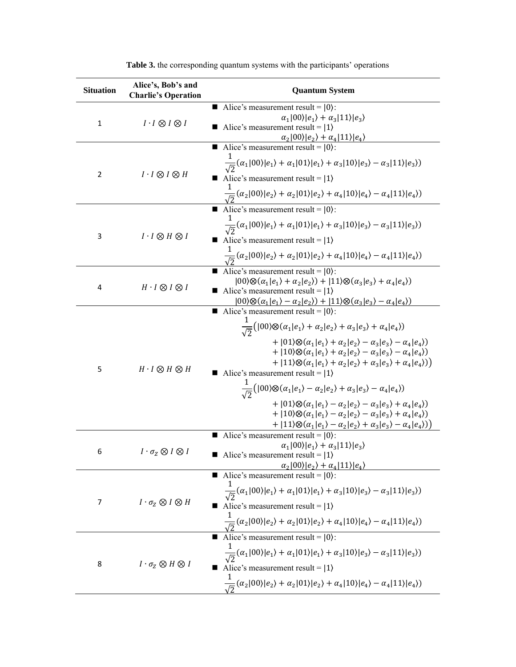| <b>Situation</b>                                | Alice's, Bob's and<br><b>Charlie's Operation</b> | <b>Quantum System</b>                                                                                                                                                                                                                                                                                                                      |
|-------------------------------------------------|--------------------------------------------------|--------------------------------------------------------------------------------------------------------------------------------------------------------------------------------------------------------------------------------------------------------------------------------------------------------------------------------------------|
|                                                 |                                                  | Alice's measurement result = $ 0\rangle$ :<br>ш                                                                                                                                                                                                                                                                                            |
| $\mathbf{1}$<br>$I \cdot I \otimes I \otimes I$ |                                                  | $\alpha_1 00\rangle e_1\rangle + \alpha_3 11\rangle e_3\rangle$                                                                                                                                                                                                                                                                            |
|                                                 |                                                  | Alice's measurement result = $ 1\rangle$<br>ш                                                                                                                                                                                                                                                                                              |
|                                                 |                                                  | $\alpha_2 00\rangle e_2\rangle + \alpha_4 11\rangle e_4\rangle$<br>Alice's measurement result =  0}:                                                                                                                                                                                                                                       |
|                                                 |                                                  |                                                                                                                                                                                                                                                                                                                                            |
| 2                                               | $I \cdot I \otimes I \otimes H$                  | $\frac{1}{\sqrt{2}}(\alpha_1 00\rangle e_1\rangle+\alpha_1 01\rangle e_1\rangle+\alpha_3 10\rangle e_3\rangle-\alpha_3 11\rangle e_3\rangle)$                                                                                                                                                                                              |
|                                                 |                                                  | Alice's measurement result = $ 1\rangle$                                                                                                                                                                                                                                                                                                   |
|                                                 |                                                  | $\frac{1}{\sqrt{2}}(\alpha_2 00\rangle e_2\rangle+\alpha_2 01\rangle e_2\rangle+\alpha_4 10\rangle e_4\rangle-\alpha_4 11\rangle e_4\rangle)$                                                                                                                                                                                              |
|                                                 |                                                  | Alice's measurement result = $ 0\rangle$ :                                                                                                                                                                                                                                                                                                 |
|                                                 |                                                  | $\frac{1}{\sqrt{2}}(\alpha_1 00\rangle e_1\rangle+\alpha_1 01\rangle e_1\rangle+\alpha_3 10\rangle e_3\rangle-\alpha_3 11\rangle e_3\rangle)$                                                                                                                                                                                              |
| 3                                               | $I \cdot I \otimes H \otimes I$                  | Alice's measurement result = $ 1\rangle$                                                                                                                                                                                                                                                                                                   |
|                                                 |                                                  | $\frac{1}{\sqrt{2}}(\alpha_2 00\rangle e_2\rangle+\alpha_2 01\rangle e_2\rangle+\alpha_4 10\rangle e_4\rangle-\alpha_4 11\rangle e_4\rangle)$                                                                                                                                                                                              |
|                                                 |                                                  | Alice's measurement result = $ 0\rangle$ :                                                                                                                                                                                                                                                                                                 |
|                                                 |                                                  | $ 00\rangle \otimes (\alpha_1 e_1\rangle + \alpha_2 e_2\rangle) +  11\rangle \otimes (\alpha_3 e_3\rangle + \alpha_4 e_4\rangle)$                                                                                                                                                                                                          |
| 4                                               | $H \cdot I \otimes I \otimes I$                  | Alice's measurement result = $ 1\rangle$                                                                                                                                                                                                                                                                                                   |
|                                                 |                                                  | $ 00\rangle \otimes (\alpha_1 e_1\rangle - \alpha_2 e_2\rangle) +  11\rangle \otimes (\alpha_3 e_3\rangle - \alpha_4 e_4\rangle)$<br>Alice's measurement result = $ 0\rangle$ :                                                                                                                                                            |
|                                                 |                                                  |                                                                                                                                                                                                                                                                                                                                            |
|                                                 |                                                  | $\frac{1}{\sqrt{2}}( 00\rangle\otimes(\alpha_1 e_1\rangle+\alpha_2 e_2\rangle+\alpha_3 e_3\rangle+\alpha_4 e_4\rangle)$                                                                                                                                                                                                                    |
|                                                 |                                                  | + $ 01\rangle \otimes (\alpha_1 e_1\rangle + \alpha_2 e_2\rangle - \alpha_3 e_3\rangle - \alpha_4 e_4\rangle)$<br>+ $ 10\rangle \otimes (\alpha_1 e_1\rangle + \alpha_2 e_2\rangle - \alpha_3 e_3\rangle - \alpha_4 e_4\rangle)$<br>+ $ 11\rangle\otimes(\alpha_1 e_1\rangle+\alpha_2 e_2\rangle+\alpha_3 e_3\rangle+\alpha_4 e_4\rangle)$ |
| 5                                               | $H \cdot I \otimes H \otimes H$                  | Alice's measurement result = $ 1\rangle$                                                                                                                                                                                                                                                                                                   |
|                                                 |                                                  | $\frac{1}{\sqrt{2}}( 00\rangle\otimes(\alpha_1 e_1\rangle-\alpha_2 e_2\rangle+\alpha_3 e_3\rangle-\alpha_4 e_4\rangle)$                                                                                                                                                                                                                    |
|                                                 |                                                  | + $ 01\rangle \otimes (\alpha_1 e_1\rangle - \alpha_2 e_2\rangle - \alpha_3 e_3\rangle + \alpha_4 e_4\rangle)$                                                                                                                                                                                                                             |
|                                                 |                                                  | + $ 10\rangle \otimes (\alpha_1 e_1\rangle - \alpha_2 e_2\rangle - \alpha_3 e_3\rangle + \alpha_4 e_4\rangle)$                                                                                                                                                                                                                             |
|                                                 |                                                  | + $ 11\rangle\otimes(\alpha_1 e_1\rangle-\alpha_2 e_2\rangle+\alpha_3 e_3\rangle-\alpha_4 e_4\rangle)$<br>Alice's measurement result = $ 0\rangle$ :                                                                                                                                                                                       |
|                                                 |                                                  | $\alpha_1 00\rangle e_1\rangle + \alpha_3 11\rangle e_3\rangle$                                                                                                                                                                                                                                                                            |
| 6 - 10                                          | $I \cdot \sigma_{Z} \otimes I \otimes I$         | Alice's measurement result = $ 1\rangle$                                                                                                                                                                                                                                                                                                   |
|                                                 |                                                  | $\alpha_2 00\rangle e_2\rangle + \alpha_4 11\rangle e_4\rangle$ Alice's measurement result =  0}:                                                                                                                                                                                                                                          |
|                                                 |                                                  |                                                                                                                                                                                                                                                                                                                                            |
| $I \cdot \sigma_Z \otimes I \otimes H$<br>7     |                                                  | $\frac{1}{\sqrt{2}}(\alpha_1 00\rangle e_1\rangle+\alpha_1 01\rangle e_1\rangle+\alpha_3 10\rangle e_3\rangle-\alpha_3 11\rangle e_3\rangle)$                                                                                                                                                                                              |
|                                                 |                                                  | Alice's measurement result = $ 1\rangle$                                                                                                                                                                                                                                                                                                   |
|                                                 |                                                  | $\frac{1}{\sqrt{2}}(\alpha_2 00\rangle e_2\rangle+\alpha_2 01\rangle e_2\rangle+\alpha_4 10\rangle e_4\rangle-\alpha_4 11\rangle e_4\rangle)$                                                                                                                                                                                              |
| 8                                               | $I \cdot \sigma_Z \otimes H \otimes I$           | Alice's measurement result = $ 0\rangle$ :                                                                                                                                                                                                                                                                                                 |
|                                                 |                                                  | $\frac{1}{\sqrt{2}}(\alpha_1 00\rangle e_1\rangle+\alpha_1 01\rangle e_1\rangle+\alpha_3 10\rangle e_3\rangle-\alpha_3 11\rangle e_3\rangle)$                                                                                                                                                                                              |
|                                                 |                                                  | Alice's measurement result = $ 1\rangle$                                                                                                                                                                                                                                                                                                   |
|                                                 |                                                  | $\frac{1}{\sqrt{2}}(\alpha_2 00\rangle e_2\rangle+\alpha_2 01\rangle e_2\rangle+\alpha_4 10\rangle e_4\rangle-\alpha_4 11\rangle e_4\rangle)$                                                                                                                                                                                              |

**Table 3.** the corresponding quantum systems with the participants' operations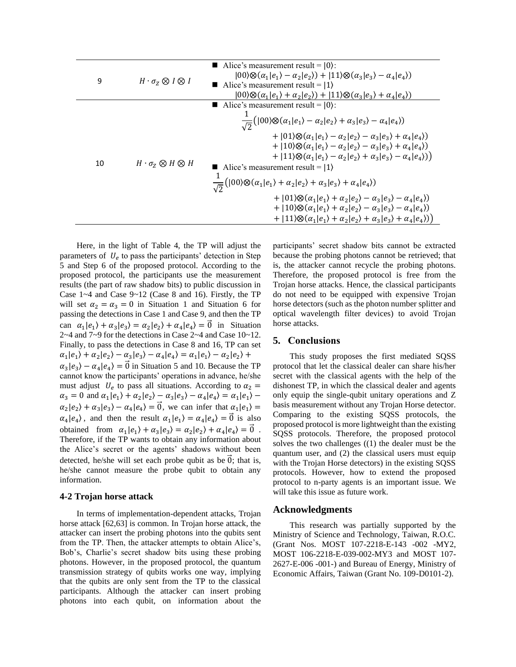| 9  | $H \cdot \sigma_{Z} \otimes I \otimes I$ | Alice's measurement result = $ 0\rangle$ :<br>$ 00\rangle \otimes (\alpha_1 e_1\rangle - \alpha_2 e_2\rangle) +  11\rangle \otimes (\alpha_3 e_3\rangle - \alpha_4 e_4\rangle)$<br>Alice's measurement result = $ 1\rangle$<br>$(00)\otimes(\alpha_1 e_1\rangle+\alpha_2 e_2\rangle)+(11)\otimes(\alpha_3 e_3\rangle+\alpha_4 e_4\rangle)$                                                                                                                                                                                                                                                                                                                                                                                                                                                                                                                                                                                                                                                                                              |
|----|------------------------------------------|-----------------------------------------------------------------------------------------------------------------------------------------------------------------------------------------------------------------------------------------------------------------------------------------------------------------------------------------------------------------------------------------------------------------------------------------------------------------------------------------------------------------------------------------------------------------------------------------------------------------------------------------------------------------------------------------------------------------------------------------------------------------------------------------------------------------------------------------------------------------------------------------------------------------------------------------------------------------------------------------------------------------------------------------|
| 10 | $H \cdot \sigma_{z} \otimes H \otimes H$ | Alice's measurement result = $ 0\rangle$ :<br>$\frac{1}{\sqrt{2}}( 00\rangle\otimes(\alpha_1 e_1\rangle-\alpha_2 e_2\rangle+\alpha_3 e_3\rangle-\alpha_4 e_4\rangle)$<br>+ $ 01\rangle\otimes(\alpha_1 e_1\rangle-\alpha_2 e_2\rangle-\alpha_3 e_3\rangle+\alpha_4 e_4\rangle)$<br>+ $ 10\rangle \otimes (\alpha_1 e_1\rangle - \alpha_2 e_2\rangle - \alpha_3 e_3\rangle + \alpha_4 e_4\rangle)$<br>+ $ 11\rangle\otimes(\alpha_1 e_1\rangle-\alpha_2 e_2\rangle+\alpha_3 e_3\rangle-\alpha_4 e_4\rangle)$<br>Alice's measurement result = $ 1\rangle$<br>$\frac{1}{\sqrt{2}}( 00\rangle \otimes (\alpha_1 e_1\rangle + \alpha_2 e_2\rangle + \alpha_3 e_3\rangle + \alpha_4 e_4\rangle)$<br>+ $ 01\rangle\otimes (\alpha_1 e_1\rangle + \alpha_2 e_2\rangle - \alpha_3 e_3\rangle - \alpha_4 e_4\rangle)$<br>+ $ 10\rangle \otimes (\alpha_1 e_1\rangle + \alpha_2 e_2\rangle - \alpha_3 e_3\rangle - \alpha_4 e_4\rangle)$<br>+ $ 11\rangle\otimes(\alpha_1 e_1\rangle+\alpha_2 e_2\rangle+\alpha_3 e_3\rangle+\alpha_4 e_4\rangle)$ |

Here, in the light of Table 4, the TP will adjust the parameters of  $U_e$  to pass the participants' detection in Step 5 and Step 6 of the proposed protocol. According to the proposed protocol, the participants use the measurement results (the part of raw shadow bits) to public discussion in Case 1~4 and Case 9~12 (Case 8 and 16). Firstly, the TP will set  $\alpha_2 = \alpha_3 = 0$  in Situation 1 and Situation 6 for passing the detections in Case 1 and Case 9, and then the TP can  $\alpha_1 | e_1 \rangle + \alpha_3 | e_3 \rangle = \alpha_2 | e_2 \rangle + \alpha_4 | e_4 \rangle = \vec{0}$  in Situation 2~4 and 7~9 for the detections in Case 2~4 and Case 10~12. Finally, to pass the detections in Case 8 and 16, TP can set  $\alpha_1 | e_1 \rangle + \alpha_2 | e_2 \rangle - \alpha_3 | e_3 \rangle - \alpha_4 | e_4 \rangle = \alpha_1 | e_1 \rangle - \alpha_2 | e_2 \rangle +$  $\alpha_3 |e_3\rangle - \alpha_4 |e_4\rangle = \vec{0}$  in Situation 5 and 10. Because the TP cannot know the participants' operations in advance, he/she must adjust  $U_e$  to pass all situations. According to  $\alpha_2 =$  $\alpha_3 = 0$  and  $\alpha_1 | e_1 \rangle + \alpha_2 | e_2 \rangle - \alpha_3 | e_3 \rangle - \alpha_4 | e_4 \rangle = \alpha_1 | e_1 \rangle \alpha_2|e_2\rangle + \alpha_3|e_3\rangle - \alpha_4|e_4\rangle = \vec{0}$ , we can infer that  $\alpha_1|e_1\rangle =$  $\alpha_4 | e_4$ , and then the result  $\alpha_1 | e_1 \rangle = \alpha_4 | e_4 \rangle = \vec{0}$  is also obtained from  $\alpha_1 | e_1 \rangle + \alpha_3 | e_3 \rangle = \alpha_2 | e_2 \rangle + \alpha_4 | e_4 \rangle = \vec{0}$ . Therefore, if the TP wants to obtain any information about the Alice's secret or the agents' shadows without been detected, he/she will set each probe qubit as be  $\hat{0}$ ; that is, he/she cannot measure the probe qubit to obtain any information.

#### **4-2 Trojan horse attack**

In terms of implementation-dependent attacks, Trojan horse attack [62,63] is common. In Trojan horse attack, the attacker can insert the probing photons into the qubits sent from the TP. Then, the attacker attempts to obtain Alice's, Bob's, Charlie's secret shadow bits using these probing photons. However, in the proposed protocol, the quantum transmission strategy of qubits works one way, implying that the qubits are only sent from the TP to the classical participants. Although the attacker can insert probing photons into each qubit, on information about the

participants' secret shadow bits cannot be extracted because the probing photons cannot be retrieved; that is, the attacker cannot recycle the probing photons. Therefore, the proposed protocol is free from the Trojan horse attacks. Hence, the classical participants do not need to be equipped with expensive Trojan horse detectors (such as the photon number splitter and optical wavelength filter devices) to avoid Trojan horse attacks.

#### **5. Conclusions**

This study proposes the first mediated SQSS protocol that let the classical dealer can share his/her secret with the classical agents with the help of the dishonest TP, in which the classical dealer and agents only equip the single-qubit unitary operations and Z basis measurement without any Trojan Horse detector. Comparing to the existing SQSS protocols, the proposed protocol is more lightweight than the existing SQSS protocols. Therefore, the proposed protocol solves the two challenges ((1) the dealer must be the quantum user, and (2) the classical users must equip with the Trojan Horse detectors) in the existing SQSS protocols. However, how to extend the proposed protocol to n-party agents is an important issue. We will take this issue as future work.

### **Acknowledgments**

This research was partially supported by the Ministry of Science and Technology, Taiwan, R.O.C. (Grant Nos. MOST 107-2218-E-143 -002 -MY2, MOST 106-2218-E-039-002-MY3 and MOST 107- 2627-E-006 -001-) and Bureau of Energy, Ministry of Economic Affairs, Taiwan (Grant No. 109-D0101-2).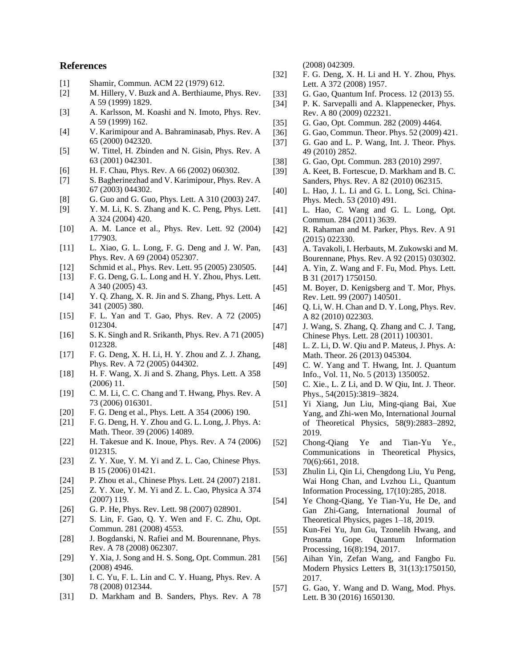## **References**

- [1] Shamir, Commun. ACM 22 (1979) 612.
- [2] M. Hillery, V. Buzk and A. Berthiaume, Phys. Rev. A 59 (1999) 1829.
- [3] A. Karlsson, M. Koashi and N. Imoto, Phys. Rev. A 59 (1999) 162.
- [4] V. Karimipour and A. Bahraminasab, Phys. Rev. A 65 (2000) 042320.
- [5] W. Tittel, H. Zbinden and N. Gisin, Phys. Rev. A 63 (2001) 042301.
- [6] H. F. Chau, Phys. Rev. A 66 (2002) 060302.
- [7] S. Bagherinezhad and V. Karimipour, Phys. Rev. A 67 (2003) 044302.
- [8] G. Guo and G. Guo, Phys. Lett. A 310 (2003) 247.
- [9] Y. M. Li, K. S. Zhang and K. C. Peng, Phys. Lett. A 324 (2004) 420.
- [10] A. M. Lance et al., Phys. Rev. Lett. 92 (2004) 177903.
- [11] L. Xiao, G. L. Long, F. G. Deng and J. W. Pan, Phys. Rev. A 69 (2004) 052307.
- [12] Schmid et al., Phys. Rev. Lett. 95 (2005) 230505.
- [13] F. G. Deng, G. L. Long and H. Y. Zhou, Phys. Lett. A 340 (2005) 43.
- [14] Y. Q. Zhang, X. R. Jin and S. Zhang, Phys. Lett. A 341 (2005) 380.
- [15] F. L. Yan and T. Gao, Phys. Rev. A 72 (2005) 012304.
- [16] S. K. Singh and R. Srikanth, Phys. Rev. A 71 (2005) 012328.
- [17] F. G. Deng, X. H. Li, H. Y. Zhou and Z. J. Zhang, Phys. Rev. A 72 (2005) 044302.
- [18] H. F. Wang, X. Ji and S. Zhang, Phys. Lett. A 358 (2006) 11.
- [19] C. M. Li, C. C. Chang and T. Hwang, Phys. Rev. A 73 (2006) 016301.
- [20] F. G. Deng et al., Phys. Lett. A 354 (2006) 190.
- [21] F. G. Deng, H. Y. Zhou and G. L. Long, J. Phys. A: Math. Theor. 39 (2006) 14089.
- [22] H. Takesue and K. Inoue, Phys. Rev. A 74 (2006) 012315.
- [23] Z. Y. Xue, Y. M. Yi and Z. L. Cao, Chinese Phys. B 15 (2006) 01421.
- [24] P. Zhou et al., Chinese Phys. Lett. 24 (2007) 2181.
- [25] Z. Y. Xue, Y. M. Yi and Z. L. Cao, Physica A 374 (2007) 119.
- [26] G. P. He, Phys. Rev. Lett. 98 (2007) 028901.
- [27] S. Lin, F. Gao, Q. Y. Wen and F. C. Zhu, Opt. Commun. 281 (2008) 4553.
- [28] J. Bogdanski, N. Rafiei and M. Bourennane, Phys. Rev. A 78 (2008) 062307.
- [29] Y. Xia, J. Song and H. S. Song, Opt. Commun. 281 (2008) 4946.
- [30] I. C. Yu, F. L. Lin and C. Y. Huang, Phys. Rev. A 78 (2008) 012344.
- [31] D. Markham and B. Sanders, Phys. Rev. A 78

(2008) 042309.

- [32] F. G. Deng, X. H. Li and H. Y. Zhou, Phys. Lett. A 372 (2008) 1957.
- [33] G. Gao, Quantum Inf. Process. 12 (2013) 55.
- [34] P. K. Sarvepalli and A. Klappenecker, Phys. Rev. A 80 (2009) 022321.
- [35] G. Gao, Opt. Commun. 282 (2009) 4464.
- [36] G. Gao, Commun. Theor. Phys. 52 (2009) 421.
- [37] G. Gao and L. P. Wang, Int. J. Theor. Phys. 49 (2010) 2852.
- [38] G. Gao, Opt. Commun. 283 (2010) 2997.
- [39] A. Keet, B. Fortescue, D. Markham and B. C. Sanders, Phys. Rev. A 82 (2010) 062315.
- [40] L. Hao, J. L. Li and G. L. Long, Sci. China-Phys. Mech. 53 (2010) 491.
- [41] L. Hao, C. Wang and G. L. Long, Opt. Commun. 284 (2011) 3639.
- [42] R. Rahaman and M. Parker, Phys. Rev. A 91 (2015) 022330.
- [43] A. Tavakoli, I. Herbauts, M. Zukowski and M. Bourennane, Phys. Rev. A 92 (2015) 030302.
- [44] A. Yin, Z. Wang and F. Fu, Mod. Phys. Lett. B 31 (2017) 1750150.
- [45] M. Boyer, D. Kenigsberg and T. Mor, Phys. Rev. Lett. 99 (2007) 140501.
- [46] Q. Li, W. H. Chan and D. Y. Long, Phys. Rev. A 82 (2010) 022303.
- [47] J. Wang, S. Zhang, Q. Zhang and C. J. Tang, Chinese Phys. Lett. 28 (2011) 100301.
- [48] L. Z. Li, D. W. Qiu and P. Mateus, J. Phys. A: Math. Theor. 26 (2013) 045304.
- [49] C. W. Yang and T. Hwang, Int. J. Quantum Info., Vol. 11, No. 5 (2013) 1350052.
- [50] C. Xie., L. Z Li, and D. W Qiu, Int. J. Theor. Phys., 54(2015):3819–3824.
- [51] Yi Xiang, Jun Liu, Ming-qiang Bai, Xue Yang, and Zhi-wen Mo, International Journal of Theoretical Physics, 58(9):2883–2892, 2019.
- [52] Chong-Qiang Ye and Tian-Yu Ye., Communications in Theoretical Physics, 70(6):661, 2018.
- [53] Zhulin Li, Qin Li, Chengdong Liu, Yu Peng, Wai Hong Chan, and Lvzhou Li., Quantum Information Processing, 17(10):285, 2018.
- [54] Ye Chong-Qiang, Ye Tian-Yu, He De, and Gan Zhi-Gang, International Journal of Theoretical Physics, pages 1–18, 2019.
- [55] Kun-Fei Yu, Jun Gu, Tzonelih Hwang, and Prosanta Gope. Quantum Information Processing, 16(8):194, 2017.
- [56] Aihan Yin, Zefan Wang, and Fangbo Fu. Modern Physics Letters B, 31(13):1750150, 2017.
- [57] G. Gao, Y. Wang and D. Wang, Mod. Phys. Lett. B 30 (2016) 1650130.